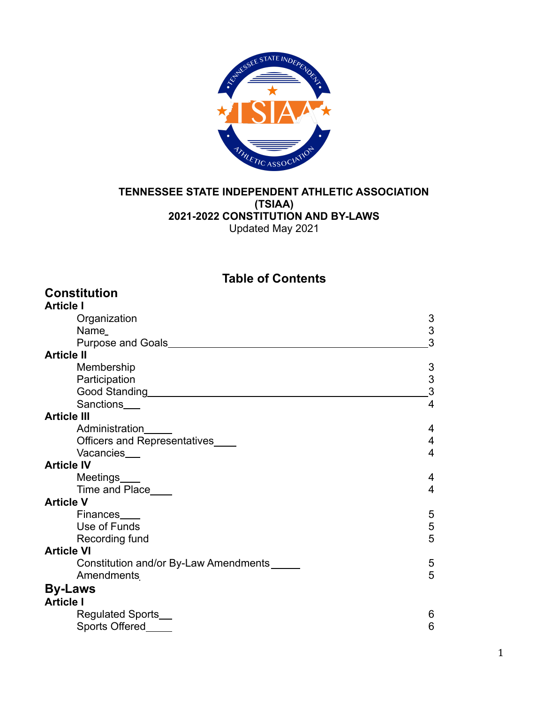

#### **TENNESSEE STATE INDEPENDENT ATHLETIC ASSOCIATION (TSIAA) 2021-2022 CONSTITUTION AND BY-LAWS** Updated May 2021

**Table of Contents**

| <b>Constitution</b>                   |                           |
|---------------------------------------|---------------------------|
| <b>Article I</b>                      |                           |
| Organization                          | 3                         |
| Name_                                 | $\ensuremath{\mathsf{3}}$ |
|                                       | 3                         |
| <b>Article II</b>                     |                           |
| Membership                            | 3                         |
| Participation                         | $\frac{3}{3}$             |
|                                       |                           |
| Sanctions___                          | 4                         |
| <b>Article III</b>                    |                           |
| Administration                        | 4                         |
| Officers and Representatives          | 4                         |
| Vacancies__                           | 4                         |
| <b>Article IV</b>                     |                           |
| Meetings____                          | 4                         |
| Time and Place____                    | 4                         |
| <b>Article V</b>                      |                           |
| Finances                              | 5                         |
| Use of Funds                          | $\frac{5}{5}$             |
| Recording fund                        |                           |
| <b>Article VI</b>                     |                           |
| Constitution and/or By-Law Amendments | 5                         |
| Amendments                            | 5                         |
| <b>By-Laws</b>                        |                           |
| <b>Article I</b>                      |                           |
| Regulated Sports_                     | 6                         |
| Sports Offered                        | 6                         |
|                                       |                           |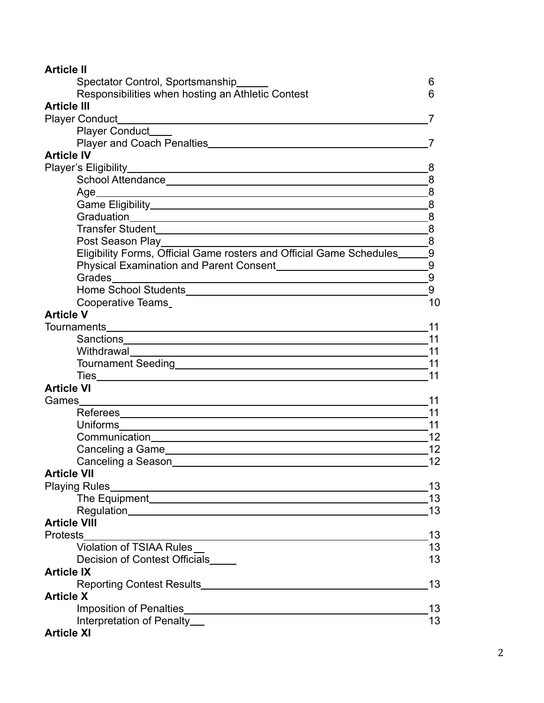| <b>Article II</b>                                                                                                                                |                 |
|--------------------------------------------------------------------------------------------------------------------------------------------------|-----------------|
| Spectator Control, Sportsmanship_____                                                                                                            | 6               |
| Responsibilities when hosting an Athletic Contest                                                                                                | 6               |
| <b>Article III</b>                                                                                                                               |                 |
| Player Conduct <b>Conduct Conduct Conduct Conduct Conduct Conduct Conduct Conduct Conduct Conduct Conduct Conduct Conduct Conduct Conduction</b> |                 |
| Player Conduct___                                                                                                                                |                 |
|                                                                                                                                                  |                 |
| <b>Article IV</b>                                                                                                                                |                 |
|                                                                                                                                                  | 8               |
|                                                                                                                                                  | 8               |
| Age<br><u> 1989 - Johann Stoff, amerikansk politiker (d. 1989)</u>                                                                               | 8               |
|                                                                                                                                                  |                 |
|                                                                                                                                                  |                 |
|                                                                                                                                                  |                 |
| Post Season Play and the control of the control of the control of the control of the control of the control of                                   | $\overline{8}$  |
| Eligibility Forms, Official Game rosters and Official Game Schedules_                                                                            | $\overline{.9}$ |
|                                                                                                                                                  |                 |
| Grades                                                                                                                                           | 9               |
|                                                                                                                                                  | 9               |
| Cooperative Teams                                                                                                                                | 10              |
| <b>Article V</b>                                                                                                                                 |                 |
|                                                                                                                                                  | -11             |
|                                                                                                                                                  |                 |
|                                                                                                                                                  | 11              |
|                                                                                                                                                  |                 |
|                                                                                                                                                  | 11              |
| <b>Article VI</b>                                                                                                                                |                 |
| Games<br><u> 1989 - Johann Stoff, deutscher Stoffen und der Stoffen und der Stoffen und der Stoffen und der Stoffen und der</u>                  | 11              |
|                                                                                                                                                  | 11              |
|                                                                                                                                                  | 11              |
|                                                                                                                                                  | 12              |
|                                                                                                                                                  | 12              |
|                                                                                                                                                  | 12              |
| <b>Article VII</b>                                                                                                                               |                 |
|                                                                                                                                                  | 13              |
|                                                                                                                                                  | 13              |
|                                                                                                                                                  | 13              |
| <b>Article VIII</b>                                                                                                                              |                 |
| <b>Protests</b>                                                                                                                                  | 13              |
| <b>Violation of TSIAA Rules</b>                                                                                                                  | 13              |
| Decision of Contest Officials                                                                                                                    | 13              |
| <b>Article IX</b>                                                                                                                                |                 |
|                                                                                                                                                  | 13              |
| <b>Article X</b>                                                                                                                                 |                 |
|                                                                                                                                                  | 13              |
| Interpretation of Penalty_                                                                                                                       | 13              |
| <b>Article XI</b>                                                                                                                                |                 |

# 2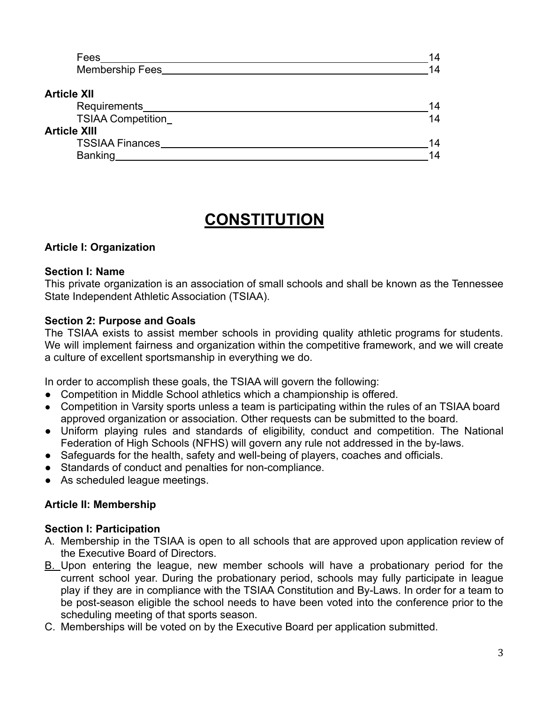| Fees                     | 14 |
|--------------------------|----|
| <b>Membership Fees</b>   | 14 |
| <b>Article XII</b>       |    |
| Requirements             | 14 |
| <b>TSIAA Competition</b> | 14 |
| <b>Article XIII</b>      |    |
| <b>TSSIAA Finances</b>   | 14 |
| <b>Banking</b>           | 14 |

# **CONSTITUTION**

## **Article I: Organization**

#### **Section I: Name**

This private organization is an association of small schools and shall be known as the Tennessee State Independent Athletic Association (TSIAA).

#### **Section 2: Purpose and Goals**

The TSIAA exists to assist member schools in providing quality athletic programs for students. We will implement fairness and organization within the competitive framework, and we will create a culture of excellent sportsmanship in everything we do.

In order to accomplish these goals, the TSIAA will govern the following:

- Competition in Middle School athletics which a championship is offered.
- Competition in Varsity sports unless a team is participating within the rules of an TSIAA board approved organization or association. Other requests can be submitted to the board.
- Uniform playing rules and standards of eligibility, conduct and competition. The National Federation of High Schools (NFHS) will govern any rule not addressed in the by-laws.
- Safeguards for the health, safety and well-being of players, coaches and officials.
- Standards of conduct and penalties for non-compliance.
- As scheduled league meetings.

#### **Article II: Membership**

#### **Section I: Participation**

- A. Membership in the TSIAA is open to all schools that are approved upon application review of the Executive Board of Directors.
- B. Upon entering the league, new member schools will have a probationary period for the current school year. During the probationary period, schools may fully participate in league play if they are in compliance with the TSIAA Constitution and By-Laws. In order for a team to be post-season eligible the school needs to have been voted into the conference prior to the scheduling meeting of that sports season.
- C. Memberships will be voted on by the Executive Board per application submitted.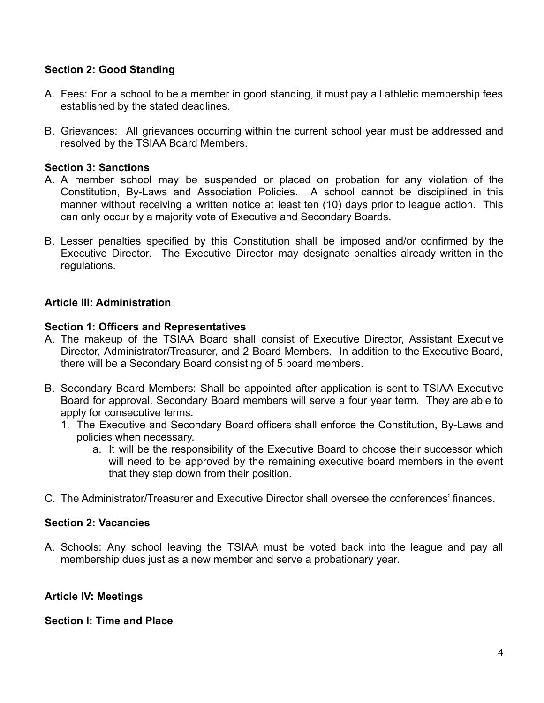#### **Section 2: Good Standing**

- A. Fees: For a school to be a member in good standing, it must pay all athletic membership fees established by the stated deadlines.
- B. Grievances: All grievances occurring within the current school year must be addressed and resolved by the TSIAA Board Members.

#### **Section 3: Sanctions**

- A. A member school may be suspended or placed on probation for any violation of the Constitution, By-Laws and Association Policies. A school cannot be disciplined in this manner without receiving a written notice at least ten (10) days prior to league action. This can only occur by a majority vote of Executive and Secondary Boards.
- B. Lesser penalties specified by this Constitution shall be imposed and/or confirmed by the Executive Director. The Executive Director may designate penalties already written in the regulations.

#### **Article III: Administration**

#### **Section 1: Officers and Representatives**

- A. The makeup of the TSIAA Board shall consist of Executive Director, Assistant Executive Director, Administrator/Treasurer, and 2 Board Members. In addition to the Executive Board, there will be a Secondary Board consisting of 5 board members.
- B. Secondary Board Members: Shall be appointed after application is sent to TSIAA Executive Board for approval. Secondary Board members will serve a four year term. They are able to apply for consecutive terms.
	- 1. The Executive and Secondary Board officers shall enforce the Constitution, By-Laws and policies when necessary.
		- a. It will be the responsibility of the Executive Board to choose their successor which will need to be approved by the remaining executive board members in the event that they step down from their position.
- C. The Administrator/Treasurer and Executive Director shall oversee the conferences' finances.

#### **Section 2: Vacancies**

A. Schools: Any school leaving the TSIAA must be voted back into the league and pay all membership dues just as a new member and serve a probationary year.

## **Article IV: Meetings**

#### **Section I: Time and Place**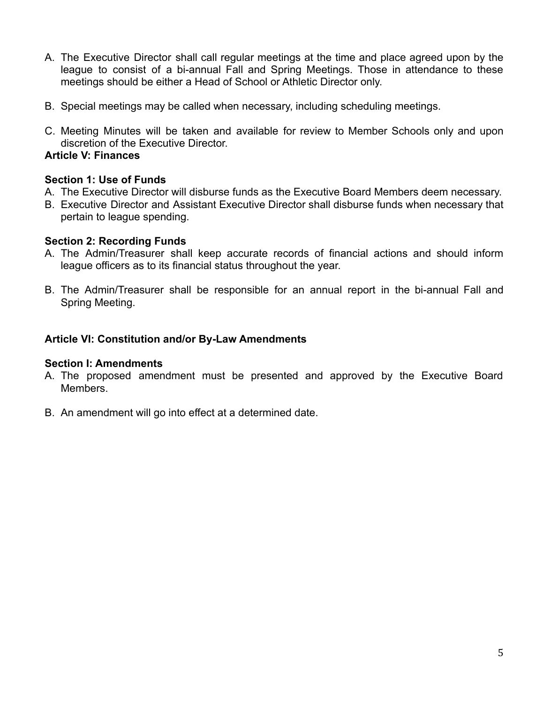- A. The Executive Director shall call regular meetings at the time and place agreed upon by the league to consist of a bi-annual Fall and Spring Meetings. Those in attendance to these meetings should be either a Head of School or Athletic Director only.
- B. Special meetings may be called when necessary, including scheduling meetings.
- C. Meeting Minutes will be taken and available for review to Member Schools only and upon discretion of the Executive Director.

## **Article V: Finances**

#### **Section 1: Use of Funds**

- A. The Executive Director will disburse funds as the Executive Board Members deem necessary.
- B. Executive Director and Assistant Executive Director shall disburse funds when necessary that pertain to league spending.

#### **Section 2: Recording Funds**

- A. The Admin/Treasurer shall keep accurate records of financial actions and should inform league officers as to its financial status throughout the year.
- B. The Admin/Treasurer shall be responsible for an annual report in the bi-annual Fall and Spring Meeting.

## **Article VI: Constitution and/or By-Law Amendments**

#### **Section I: Amendments**

- A. The proposed amendment must be presented and approved by the Executive Board Members.
- B. An amendment will go into effect at a determined date.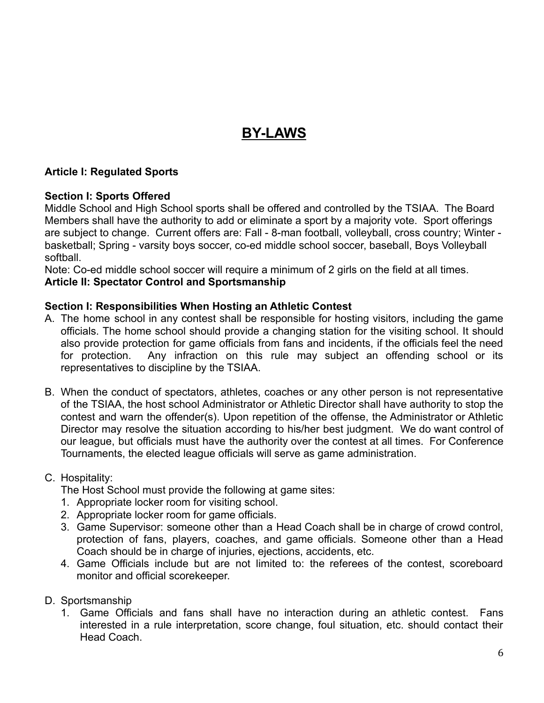# **BY-LAWS**

#### **Article I: Regulated Sports**

#### **Section I: Sports Offered**

Middle School and High School sports shall be offered and controlled by the TSIAA. The Board Members shall have the authority to add or eliminate a sport by a majority vote. Sport offerings are subject to change. Current offers are: Fall - 8-man football, volleyball, cross country; Winter basketball; Spring - varsity boys soccer, co-ed middle school soccer, baseball, Boys Volleyball softball.

Note: Co-ed middle school soccer will require a minimum of 2 girls on the field at all times.

#### **Article II: Spectator Control and Sportsmanship**

#### **Section I: Responsibilities When Hosting an Athletic Contest**

- A. The home school in any contest shall be responsible for hosting visitors, including the game officials. The home school should provide a changing station for the visiting school. It should also provide protection for game officials from fans and incidents, if the officials feel the need for protection. Any infraction on this rule may subject an offending school or its representatives to discipline by the TSIAA.
- B. When the conduct of spectators, athletes, coaches or any other person is not representative of the TSIAA, the host school Administrator or Athletic Director shall have authority to stop the contest and warn the offender(s). Upon repetition of the offense, the Administrator or Athletic Director may resolve the situation according to his/her best judgment. We do want control of our league, but officials must have the authority over the contest at all times. For Conference Tournaments, the elected league officials will serve as game administration.
- C. Hospitality:

The Host School must provide the following at game sites:

- 1. Appropriate locker room for visiting school.
- 2. Appropriate locker room for game officials.
- 3. Game Supervisor: someone other than a Head Coach shall be in charge of crowd control, protection of fans, players, coaches, and game officials. Someone other than a Head Coach should be in charge of injuries, ejections, accidents, etc.
- 4. Game Officials include but are not limited to: the referees of the contest, scoreboard monitor and official scorekeeper.
- D. Sportsmanship
	- 1. Game Officials and fans shall have no interaction during an athletic contest. Fans interested in a rule interpretation, score change, foul situation, etc. should contact their Head Coach.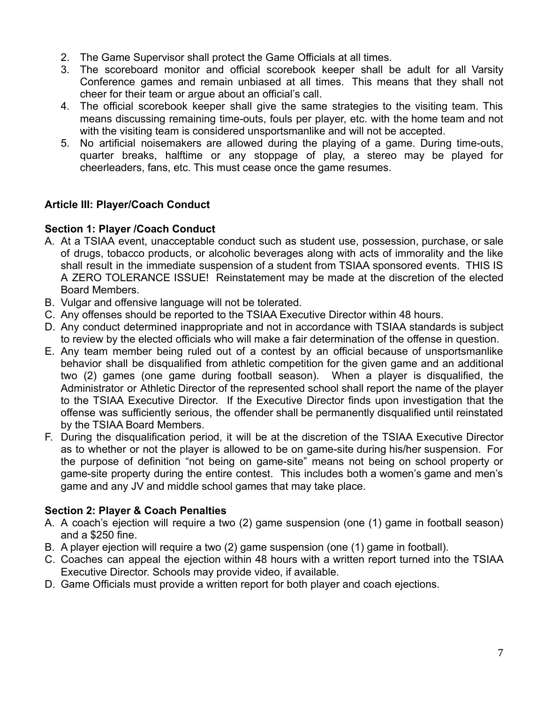- 2. The Game Supervisor shall protect the Game Officials at all times.
- 3. The scoreboard monitor and official scorebook keeper shall be adult for all Varsity Conference games and remain unbiased at all times. This means that they shall not cheer for their team or argue about an official's call.
- 4. The official scorebook keeper shall give the same strategies to the visiting team. This means discussing remaining time-outs, fouls per player, etc. with the home team and not with the visiting team is considered unsportsmanlike and will not be accepted.
- 5. No artificial noisemakers are allowed during the playing of a game. During time-outs, quarter breaks, halftime or any stoppage of play, a stereo may be played for cheerleaders, fans, etc. This must cease once the game resumes.

## **Article III: Player/Coach Conduct**

## **Section 1: Player /Coach Conduct**

- A. At a TSIAA event, unacceptable conduct such as student use, possession, purchase, or sale of drugs, tobacco products, or alcoholic beverages along with acts of immorality and the like shall result in the immediate suspension of a student from TSIAA sponsored events. THIS IS A ZERO TOLERANCE ISSUE! Reinstatement may be made at the discretion of the elected Board Members.
- B. Vulgar and offensive language will not be tolerated.
- C. Any offenses should be reported to the TSIAA Executive Director within 48 hours.
- D. Any conduct determined inappropriate and not in accordance with TSIAA standards is subject to review by the elected officials who will make a fair determination of the offense in question.
- E. Any team member being ruled out of a contest by an official because of unsportsmanlike behavior shall be disqualified from athletic competition for the given game and an additional two (2) games (one game during football season). When a player is disqualified, the Administrator or Athletic Director of the represented school shall report the name of the player to the TSIAA Executive Director. If the Executive Director finds upon investigation that the offense was sufficiently serious, the offender shall be permanently disqualified until reinstated by the TSIAA Board Members.
- F. During the disqualification period, it will be at the discretion of the TSIAA Executive Director as to whether or not the player is allowed to be on game-site during his/her suspension. For the purpose of definition "not being on game-site" means not being on school property or game-site property during the entire contest. This includes both a women's game and men's game and any JV and middle school games that may take place.

# **Section 2: Player & Coach Penalties**

- A. A coach's ejection will require a two (2) game suspension (one (1) game in football season) and a \$250 fine.
- B. A player ejection will require a two (2) game suspension (one (1) game in football).
- C. Coaches can appeal the ejection within 48 hours with a written report turned into the TSIAA Executive Director. Schools may provide video, if available.
- D. Game Officials must provide a written report for both player and coach ejections.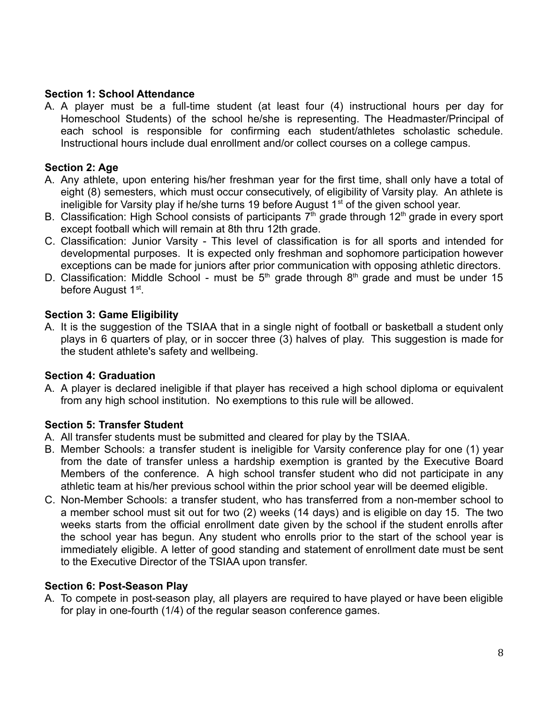#### **Section 1: School Attendance**

A. A player must be a full-time student (at least four (4) instructional hours per day for Homeschool Students) of the school he/she is representing. The Headmaster/Principal of each school is responsible for confirming each student/athletes scholastic schedule. Instructional hours include dual enrollment and/or collect courses on a college campus.

#### **Section 2: Age**

- A. Any athlete, upon entering his/her freshman year for the first time, shall only have a total of eight (8) semesters, which must occur consecutively, of eligibility of Varsity play. An athlete is ineligible for Varsity play if he/she turns 19 before August  $1<sup>st</sup>$  of the given school year.
- B. Classification: High School consists of participants  $7<sup>th</sup>$  grade through 12<sup>th</sup> grade in every sport except football which will remain at 8th thru 12th grade.
- C. Classification: Junior Varsity This level of classification is for all sports and intended for developmental purposes. It is expected only freshman and sophomore participation however exceptions can be made for juniors after prior communication with opposing athletic directors.
- D. Classification: Middle School must be  $5<sup>th</sup>$  grade through  $8<sup>th</sup>$  grade and must be under 15 before August 1<sup>st</sup>.

#### **Section 3: Game Eligibility**

A. It is the suggestion of the TSIAA that in a single night of football or basketball a student only plays in 6 quarters of play, or in soccer three (3) halves of play. This suggestion is made for the student athlete's safety and wellbeing.

#### **Section 4: Graduation**

A. A player is declared ineligible if that player has received a high school diploma or equivalent from any high school institution. No exemptions to this rule will be allowed.

## **Section 5: Transfer Student**

- A. All transfer students must be submitted and cleared for play by the TSIAA.
- B. Member Schools: a transfer student is ineligible for Varsity conference play for one (1) year from the date of transfer unless a hardship exemption is granted by the Executive Board Members of the conference. A high school transfer student who did not participate in any athletic team at his/her previous school within the prior school year will be deemed eligible.
- C. Non-Member Schools: a transfer student, who has transferred from a non-member school to a member school must sit out for two (2) weeks (14 days) and is eligible on day 15. The two weeks starts from the official enrollment date given by the school if the student enrolls after the school year has begun. Any student who enrolls prior to the start of the school year is immediately eligible. A letter of good standing and statement of enrollment date must be sent to the Executive Director of the TSIAA upon transfer.

#### **Section 6: Post-Season Play**

A. To compete in post-season play, all players are required to have played or have been eligible for play in one-fourth (1/4) of the regular season conference games.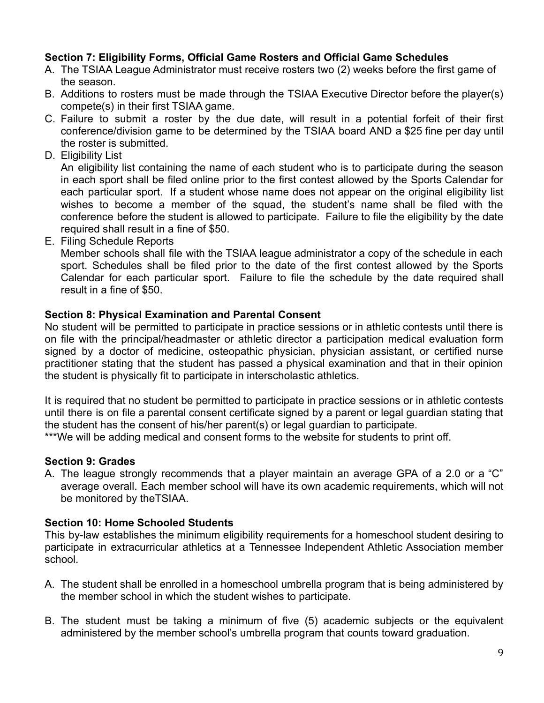#### **Section 7: Eligibility Forms, Official Game Rosters and Official Game Schedules**

- A. The TSIAA League Administrator must receive rosters two (2) weeks before the first game of the season.
- B. Additions to rosters must be made through the TSIAA Executive Director before the player(s) compete(s) in their first TSIAA game.
- C. Failure to submit a roster by the due date, will result in a potential forfeit of their first conference/division game to be determined by the TSIAA board AND a \$25 fine per day until the roster is submitted.
- D. Eligibility List

An eligibility list containing the name of each student who is to participate during the season in each sport shall be filed online prior to the first contest allowed by the Sports Calendar for each particular sport. If a student whose name does not appear on the original eligibility list wishes to become a member of the squad, the student's name shall be filed with the conference before the student is allowed to participate. Failure to file the eligibility by the date required shall result in a fine of \$50.

E. Filing Schedule Reports

Member schools shall file with the TSIAA league administrator a copy of the schedule in each sport. Schedules shall be filed prior to the date of the first contest allowed by the Sports Calendar for each particular sport. Failure to file the schedule by the date required shall result in a fine of \$50.

#### **Section 8: Physical Examination and Parental Consent**

No student will be permitted to participate in practice sessions or in athletic contests until there is on file with the principal/headmaster or athletic director a participation medical evaluation form signed by a doctor of medicine, osteopathic physician, physician assistant, or certified nurse practitioner stating that the student has passed a physical examination and that in their opinion the student is physically fit to participate in interscholastic athletics.

It is required that no student be permitted to participate in practice sessions or in athletic contests until there is on file a parental consent certificate signed by a parent or legal guardian stating that the student has the consent of his/her parent(s) or legal guardian to participate.

\*\*\*We will be adding medical and consent forms to the website for students to print off.

## **Section 9: Grades**

A. The league strongly recommends that a player maintain an average GPA of a 2.0 or a "C" average overall. Each member school will have its own academic requirements, which will not be monitored by theTSIAA.

#### **Section 10: Home Schooled Students**

This by-law establishes the minimum eligibility requirements for a homeschool student desiring to participate in extracurricular athletics at a Tennessee Independent Athletic Association member school.

- A. The student shall be enrolled in a homeschool umbrella program that is being administered by the member school in which the student wishes to participate.
- B. The student must be taking a minimum of five (5) academic subjects or the equivalent administered by the member school's umbrella program that counts toward graduation.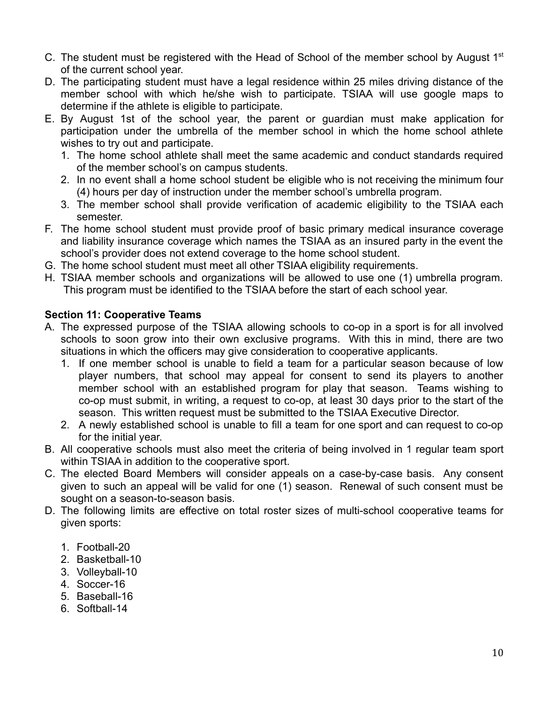- C. The student must be registered with the Head of School of the member school by August  $1<sup>st</sup>$ of the current school year.
- D. The participating student must have a legal residence within 25 miles driving distance of the member school with which he/she wish to participate. TSIAA will use google maps to determine if the athlete is eligible to participate.
- E. By August 1st of the school year, the parent or guardian must make application for participation under the umbrella of the member school in which the home school athlete wishes to try out and participate.
	- 1. The home school athlete shall meet the same academic and conduct standards required of the member school's on campus students.
	- 2. In no event shall a home school student be eligible who is not receiving the minimum four (4) hours per day of instruction under the member school's umbrella program.
	- 3. The member school shall provide verification of academic eligibility to the TSIAA each semester.
- F. The home school student must provide proof of basic primary medical insurance coverage and liability insurance coverage which names the TSIAA as an insured party in the event the school's provider does not extend coverage to the home school student.
- G. The home school student must meet all other TSIAA eligibility requirements.
- H. TSIAA member schools and organizations will be allowed to use one (1) umbrella program. This program must be identified to the TSIAA before the start of each school year.

## **Section 11: Cooperative Teams**

- A. The expressed purpose of the TSIAA allowing schools to co-op in a sport is for all involved schools to soon grow into their own exclusive programs. With this in mind, there are two situations in which the officers may give consideration to cooperative applicants.
	- 1. If one member school is unable to field a team for a particular season because of low player numbers, that school may appeal for consent to send its players to another member school with an established program for play that season. Teams wishing to co-op must submit, in writing, a request to co-op, at least 30 days prior to the start of the season. This written request must be submitted to the TSIAA Executive Director.
	- 2. A newly established school is unable to fill a team for one sport and can request to co-op for the initial year.
- B. All cooperative schools must also meet the criteria of being involved in 1 regular team sport within TSIAA in addition to the cooperative sport.
- C. The elected Board Members will consider appeals on a case-by-case basis. Any consent given to such an appeal will be valid for one (1) season. Renewal of such consent must be sought on a season-to-season basis.
- D. The following limits are effective on total roster sizes of multi-school cooperative teams for given sports:
	- 1. Football-20
	- 2. Basketball-10
	- 3. Volleyball-10
	- 4. Soccer-16
	- 5. Baseball-16
	- 6. Softball-14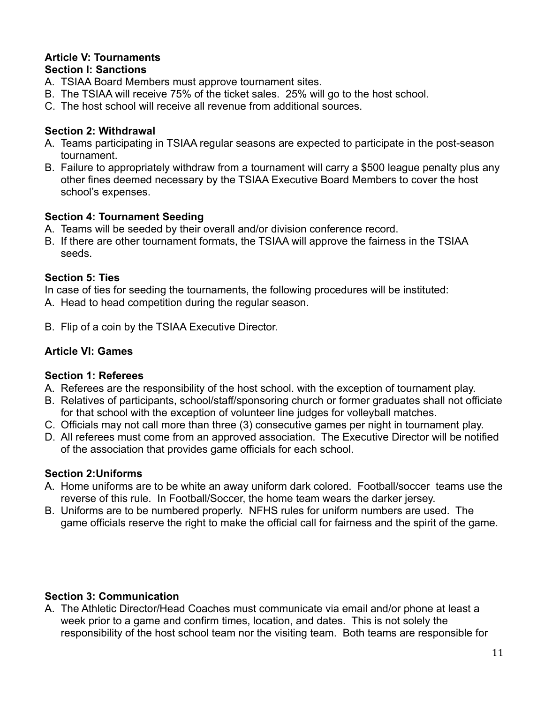#### **Article V: Tournaments Section I: Sanctions**

# A. TSIAA Board Members must approve tournament sites.

- B. The TSIAA will receive 75% of the ticket sales. 25% will go to the host school.
- C. The host school will receive all revenue from additional sources.

## **Section 2: Withdrawal**

- A. Teams participating in TSIAA regular seasons are expected to participate in the post-season tournament.
- B. Failure to appropriately withdraw from a tournament will carry a \$500 league penalty plus any other fines deemed necessary by the TSIAA Executive Board Members to cover the host school's expenses.

## **Section 4: Tournament Seeding**

- A. Teams will be seeded by their overall and/or division conference record.
- B. If there are other tournament formats, the TSIAA will approve the fairness in the TSIAA seeds.

## **Section 5: Ties**

In case of ties for seeding the tournaments, the following procedures will be instituted:

- A. Head to head competition during the regular season.
- B. Flip of a coin by the TSIAA Executive Director.

# **Article VI: Games**

## **Section 1: Referees**

- A. Referees are the responsibility of the host school. with the exception of tournament play.
- B. Relatives of participants, school/staff/sponsoring church or former graduates shall not officiate for that school with the exception of volunteer line judges for volleyball matches.
- C. Officials may not call more than three (3) consecutive games per night in tournament play.
- D. All referees must come from an approved association. The Executive Director will be notified of the association that provides game officials for each school.

## **Section 2:Uniforms**

- A. Home uniforms are to be white an away uniform dark colored. Football/soccer teams use the reverse of this rule. In Football/Soccer, the home team wears the darker jersey.
- B. Uniforms are to be numbered properly. NFHS rules for uniform numbers are used. The game officials reserve the right to make the official call for fairness and the spirit of the game.

# **Section 3: Communication**

A. The Athletic Director/Head Coaches must communicate via email and/or phone at least a week prior to a game and confirm times, location, and dates. This is not solely the responsibility of the host school team nor the visiting team. Both teams are responsible for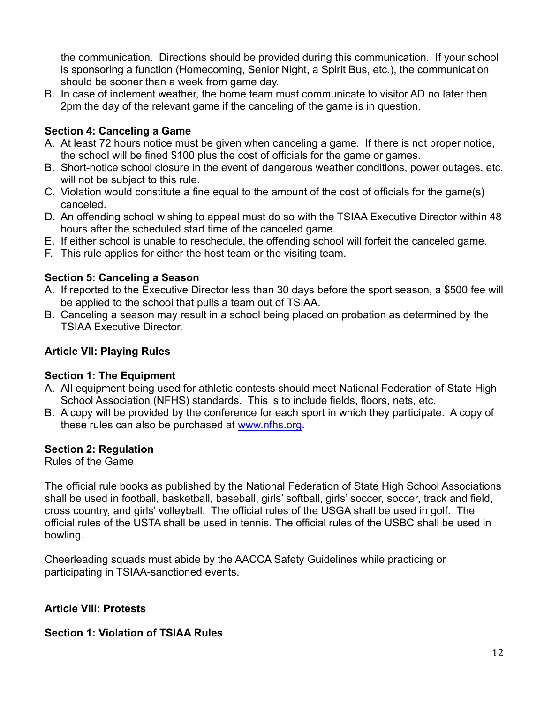the communication. Directions should be provided during this communication. If your school is sponsoring a function (Homecoming, Senior Night, a Spirit Bus, etc.), the communication should be sooner than a week from game day.

B. In case of inclement weather, the home team must communicate to visitor AD no later then 2pm the day of the relevant game if the canceling of the game is in question.

## **Section 4: Canceling a Game**

- A. At least 72 hours notice must be given when canceling a game. If there is not proper notice, the school will be fined \$100 plus the cost of officials for the game or games.
- B. Short-notice school closure in the event of dangerous weather conditions, power outages, etc. will not be subject to this rule.
- C. Violation would constitute a fine equal to the amount of the cost of officials for the game(s) canceled.
- D. An offending school wishing to appeal must do so with the TSIAA Executive Director within 48 hours after the scheduled start time of the canceled game.
- E. If either school is unable to reschedule, the offending school will forfeit the canceled game.
- F. This rule applies for either the host team or the visiting team.

## **Section 5: Canceling a Season**

- A. If reported to the Executive Director less than 30 days before the sport season, a \$500 fee will be applied to the school that pulls a team out of TSIAA.
- B. Canceling a season may result in a school being placed on probation as determined by the TSIAA Executive Director.

## **Article VII: Playing Rules**

## **Section 1: The Equipment**

- A. All equipment being used for athletic contests should meet National Federation of State High School Association (NFHS) standards. This is to include fields, floors, nets, etc.
- B. A copy will be provided by the conference for each sport in which they participate. A copy of these rules can also be purchased at [www.nfhs.org.](http://www.nfhs.org)

## **Section 2: Regulation**

Rules of the Game

The official rule books as published by the National Federation of State High School Associations shall be used in football, basketball, baseball, girls' softball, girls' soccer, soccer, track and field, cross country, and girls' volleyball. The official rules of the USGA shall be used in golf. The official rules of the USTA shall be used in tennis. The official rules of the USBC shall be used in bowling.

Cheerleading squads must abide by the AACCA Safety Guidelines while practicing or participating in TSIAA-sanctioned events.

## **Article VIII: Protests**

## **Section 1: Violation of TSIAA Rules**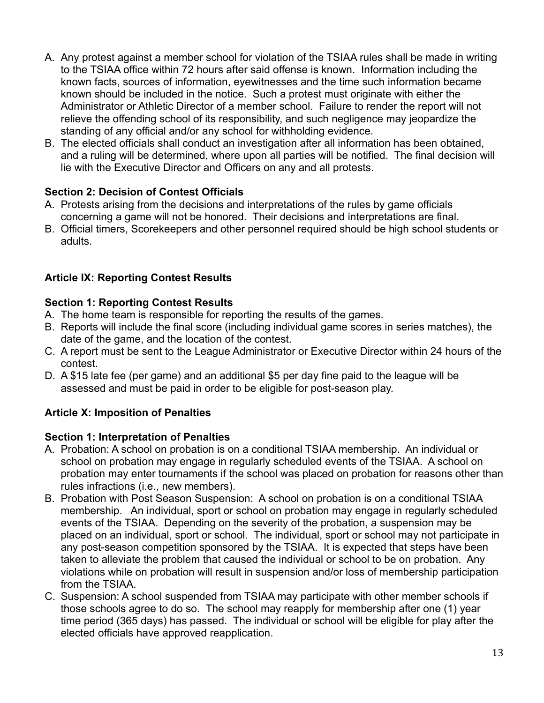- A. Any protest against a member school for violation of the TSIAA rules shall be made in writing to the TSIAA office within 72 hours after said offense is known. Information including the known facts, sources of information, eyewitnesses and the time such information became known should be included in the notice. Such a protest must originate with either the Administrator or Athletic Director of a member school. Failure to render the report will not relieve the offending school of its responsibility, and such negligence may jeopardize the standing of any official and/or any school for withholding evidence.
- B. The elected officials shall conduct an investigation after all information has been obtained, and a ruling will be determined, where upon all parties will be notified. The final decision will lie with the Executive Director and Officers on any and all protests.

# **Section 2: Decision of Contest Officials**

- A. Protests arising from the decisions and interpretations of the rules by game officials concerning a game will not be honored. Their decisions and interpretations are final.
- B. Official timers, Scorekeepers and other personnel required should be high school students or adults.

# **Article IX: Reporting Contest Results**

## **Section 1: Reporting Contest Results**

- A. The home team is responsible for reporting the results of the games.
- B. Reports will include the final score (including individual game scores in series matches), the date of the game, and the location of the contest.
- C. A report must be sent to the League Administrator or Executive Director within 24 hours of the contest.
- D. A \$15 late fee (per game) and an additional \$5 per day fine paid to the league will be assessed and must be paid in order to be eligible for post-season play.

## **Article X: Imposition of Penalties**

## **Section 1: Interpretation of Penalties**

- A. Probation: A school on probation is on a conditional TSIAA membership. An individual or school on probation may engage in regularly scheduled events of the TSIAA. A school on probation may enter tournaments if the school was placed on probation for reasons other than rules infractions (i.e., new members).
- B. Probation with Post Season Suspension: A school on probation is on a conditional TSIAA membership. An individual, sport or school on probation may engage in regularly scheduled events of the TSIAA. Depending on the severity of the probation, a suspension may be placed on an individual, sport or school. The individual, sport or school may not participate in any post-season competition sponsored by the TSIAA. It is expected that steps have been taken to alleviate the problem that caused the individual or school to be on probation. Any violations while on probation will result in suspension and/or loss of membership participation from the TSIAA.
- C. Suspension: A school suspended from TSIAA may participate with other member schools if those schools agree to do so. The school may reapply for membership after one (1) year time period (365 days) has passed. The individual or school will be eligible for play after the elected officials have approved reapplication.